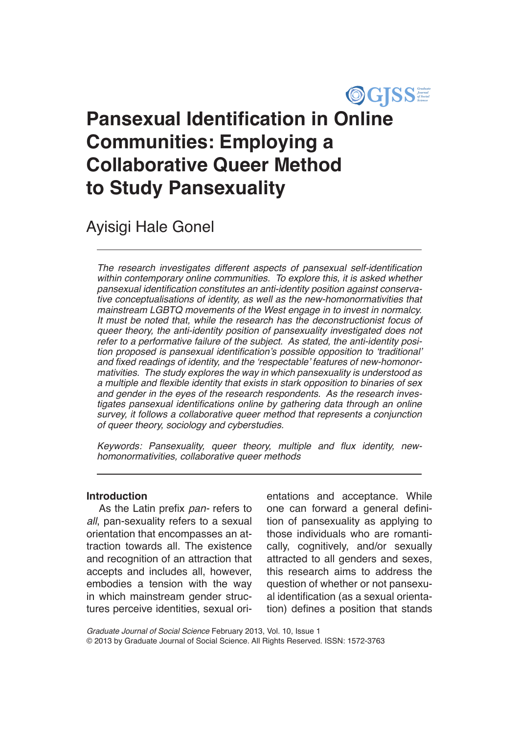

# **Pansexual Identification in Online Communities: Employing a Collaborative Queer Method to Study Pansexuality**

Ayisigi Hale Gonel

The research investigates different aspects of pansexual self-identification *within contemporary online communities. To explore this, it is asked whether*  pansexual identification constitutes an anti-identity position against conserva*tive conceptualisations of identity, as well as the new-homonormativities that mainstream LGBTQ movements of the West engage in to invest in normalcy. It must be noted that, while the research has the deconstructionist focus of queer theory, the anti-identity position of pansexuality investigated does not refer to a performative failure of the subject. As stated, the anti-identity posi*tion proposed is pansexual identification's possible opposition to 'traditional' and fixed readings of identity, and the 'respectable' features of new-homonor*mativities. The study explores the way in which pansexuality is understood as*  a multiple and flexible identity that exists in stark opposition to binaries of sex *and gender in the eyes of the research respondents. As the research inves*tigates pansexual identifications online by gathering data through an online *survey, it follows a collaborative queer method that represents a conjunction of queer theory, sociology and cyberstudies.*

Keywords: Pansexuality, queer theory, multiple and flux identity, new*homonormativities, collaborative queer methods*

# **Introduction**

As the Latin prefix *pan-* refers to *all*, pan-sexuality refers to a sexual orientation that encompasses an attraction towards all. The existence and recognition of an attraction that accepts and includes all, however, embodies a tension with the way in which mainstream gender structures perceive identities, sexual orientations and acceptance. While one can forward a general definition of pansexuality as applying to those individuals who are romantically, cognitively, and/or sexually attracted to all genders and sexes, this research aims to address the question of whether or not pansexual identification (as a sexual orientation) defines a position that stands

*Graduate Journal of Social Science* February 2013, Vol. 10, Issue 1 © 2013 by Graduate Journal of Social Science. All Rights Reserved. ISSN: 1572-3763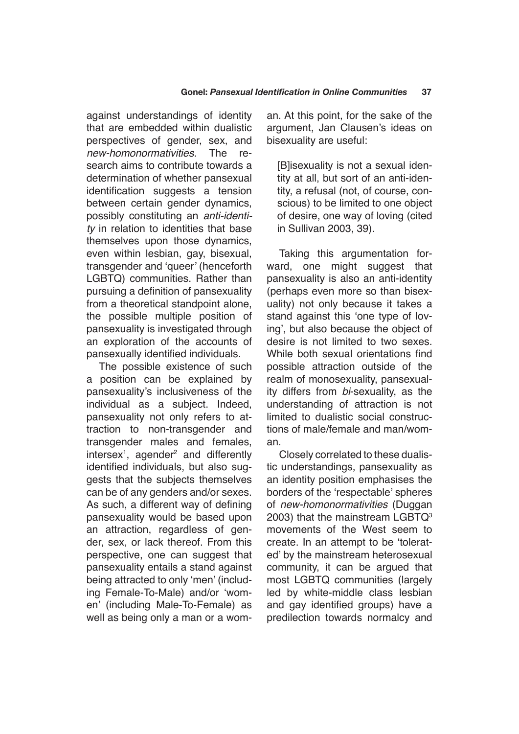against understandings of identity that are embedded within dualistic perspectives of gender, sex, and *new-homonormativities.* The research aims to contribute towards a determination of whether pansexual identification suggests a tension between certain gender dynamics, possibly constituting an *anti-identity* in relation to identities that base themselves upon those dynamics, even within lesbian, gay, bisexual, transgender and 'queer' (henceforth LGBTQ) communities. Rather than pursuing a definition of pansexuality from a theoretical standpoint alone, the possible multiple position of pansexuality is investigated through an exploration of the accounts of pansexually identified individuals.

The possible existence of such a position can be explained by pansexuality's inclusiveness of the individual as a subject. Indeed, pansexuality not only refers to attraction to non-transgender and transgender males and females, intersex<sup>1</sup>, agender<sup>2</sup> and differently identified individuals, but also suggests that the subjects themselves can be of any genders and/or sexes. As such, a different way of defining pansexuality would be based upon an attraction, regardless of gender, sex, or lack thereof. From this perspective, one can suggest that pansexuality entails a stand against being attracted to only 'men' (including Female-To-Male) and/or 'women' (including Male-To-Female) as well as being only a man or a woman. At this point, for the sake of the argument, Jan Clausen's ideas on bisexuality are useful:

[B]isexuality is not a sexual identity at all, but sort of an anti-identity, a refusal (not, of course, conscious) to be limited to one object of desire, one way of loving (cited in Sullivan 2003, 39).

Taking this argumentation forward, one might suggest that pansexuality is also an anti-identity (perhaps even more so than bisexuality) not only because it takes a stand against this 'one type of loving', but also because the object of desire is not limited to two sexes. While both sexual orientations find possible attraction outside of the realm of monosexuality, pansexuality differs from *bi*-sexuality, as the understanding of attraction is not limited to dualistic social constructions of male/female and man/woman.

Closely correlated to these dualistic understandings, pansexuality as an identity position emphasises the borders of the 'respectable' spheres of *new-homonormativities* (Duggan 2003) that the mainstream LGBTQ3 movements of the West seem to create. In an attempt to be 'tolerated' by the mainstream heterosexual community, it can be argued that most LGBTQ communities (largely led by white-middle class lesbian and gay identified groups) have a predilection towards normalcy and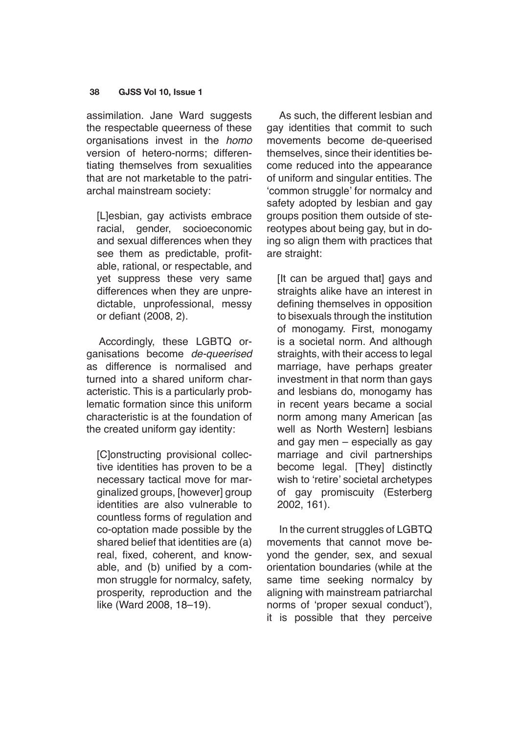assimilation. Jane Ward suggests the respectable queerness of these organisations invest in the *homo* version of hetero-norms; differentiating themselves from sexualities that are not marketable to the patriarchal mainstream society:

[L]esbian, gay activists embrace racial, gender, socioeconomic and sexual differences when they see them as predictable, profitable, rational, or respectable, and yet suppress these very same differences when they are unpredictable, unprofessional, messy or defiant (2008, 2).

Accordingly, these LGBTQ organisations become *de-queerised*  as difference is normalised and turned into a shared uniform characteristic. This is a particularly problematic formation since this uniform characteristic is at the foundation of the created uniform gay identity:

[C]onstructing provisional collective identities has proven to be a necessary tactical move for marginalized groups, [however] group identities are also vulnerable to countless forms of regulation and co-optation made possible by the shared belief that identities are (a) real, fixed, coherent, and knowable, and (b) unified by a common struggle for normalcy, safety, prosperity, reproduction and the like (Ward 2008, 18–19).

As such, the different lesbian and gay identities that commit to such movements become de-queerised themselves, since their identities become reduced into the appearance of uniform and singular entities. The 'common struggle' for normalcy and safety adopted by lesbian and gay groups position them outside of stereotypes about being gay, but in doing so align them with practices that are straight:

[It can be argued that] gays and straights alike have an interest in defining themselves in opposition to bisexuals through the institution of monogamy. First, monogamy is a societal norm. And although straights, with their access to legal marriage, have perhaps greater investment in that norm than gays and lesbians do, monogamy has in recent years became a social norm among many American [as well as North Western] lesbians and gay men – especially as gay marriage and civil partnerships become legal. [They] distinctly wish to 'retire' societal archetypes of gay promiscuity (Esterberg 2002, 161).

In the current struggles of LGBTQ movements that cannot move beyond the gender, sex, and sexual orientation boundaries (while at the same time seeking normalcy by aligning with mainstream patriarchal norms of 'proper sexual conduct'), it is possible that they perceive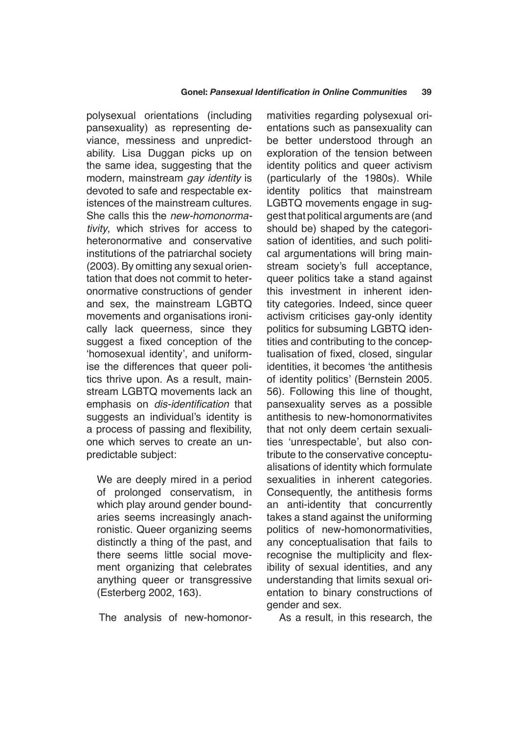polysexual orientations (including pansexuality) as representing deviance, messiness and unpredictability. Lisa Duggan picks up on the same idea, suggesting that the modern, mainstream *gay identity* is devoted to safe and respectable existences of the mainstream cultures. She calls this the *new-homonormativity*, which strives for access to heteronormative and conservative institutions of the patriarchal society (2003). By omitting any sexual orientation that does not commit to heteronormative constructions of gender and sex, the mainstream LGBTQ movements and organisations ironically lack queerness, since they suggest a fixed conception of the 'homosexual identity', and uniformise the differences that queer politics thrive upon. As a result, mainstream LGBTQ movements lack an emphasis on dis-identification that suggests an individual's identity is a process of passing and flexibility, one which serves to create an unpredictable subject:

We are deeply mired in a period of prolonged conservatism, in which play around gender boundaries seems increasingly anachronistic. Queer organizing seems distinctly a thing of the past, and there seems little social movement organizing that celebrates anything queer or transgressive (Esterberg 2002, 163).

The analysis of new-homonor-

mativities regarding polysexual orientations such as pansexuality can be better understood through an exploration of the tension between identity politics and queer activism (particularly of the 1980s). While identity politics that mainstream LGBTQ movements engage in suggest that political arguments are (and should be) shaped by the categorisation of identities, and such political argumentations will bring mainstream society's full acceptance, queer politics take a stand against this investment in inherent identity categories. Indeed, since queer activism criticises gay-only identity politics for subsuming LGBTQ identities and contributing to the conceptualisation of fixed, closed, singular identities, it becomes 'the antithesis of identity politics' (Bernstein 2005. 56). Following this line of thought, pansexuality serves as a possible antithesis to new-homonormativites that not only deem certain sexualities 'unrespectable', but also contribute to the conservative conceptualisations of identity which formulate sexualities in inherent categories. Consequently, the antithesis forms an anti-identity that concurrently takes a stand against the uniforming politics of new-homonormativities, any conceptualisation that fails to recognise the multiplicity and flexibility of sexual identities, and any understanding that limits sexual orientation to binary constructions of gender and sex.

As a result, in this research, the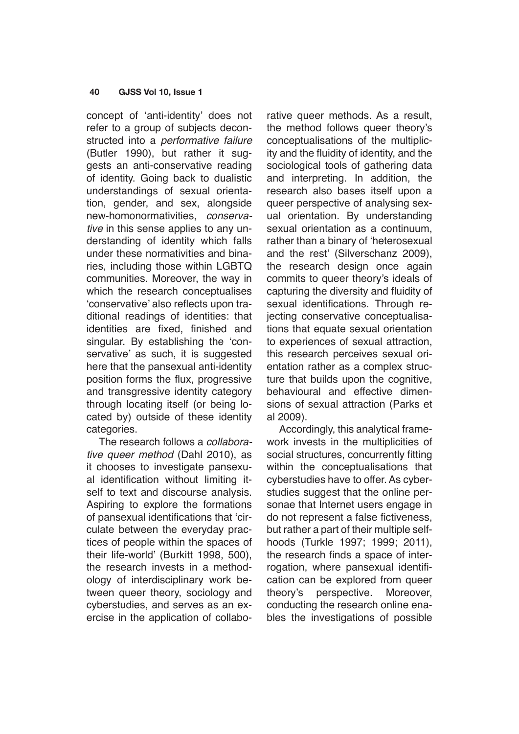concept of 'anti-identity' does not refer to a group of subjects deconstructed into a *performative failure*  (Butler 1990), but rather it suggests an anti-conservative reading of identity. Going back to dualistic understandings of sexual orientation, gender, and sex, alongside new-homonormativities, *conservative* in this sense applies to any understanding of identity which falls under these normativities and binaries, including those within LGBTQ communities. Moreover, the way in which the research conceptualises 'conservative' also reflects upon traditional readings of identities: that identities are fixed, finished and singular. By establishing the 'conservative' as such, it is suggested here that the pansexual anti-identity position forms the flux, progressive and transgressive identity category through locating itself (or being located by) outside of these identity categories.

The research follows a *collaborative queer method* (Dahl 2010), as it chooses to investigate pansexual identification without limiting itself to text and discourse analysis. Aspiring to explore the formations of pansexual identifications that 'circulate between the everyday practices of people within the spaces of their life-world' (Burkitt 1998, 500), the research invests in a methodology of interdisciplinary work between queer theory, sociology and cyberstudies, and serves as an exercise in the application of collaborative queer methods. As a result, the method follows queer theory's conceptualisations of the multiplicity and the fluidity of identity, and the sociological tools of gathering data and interpreting. In addition, the research also bases itself upon a queer perspective of analysing sexual orientation. By understanding sexual orientation as a continuum, rather than a binary of 'heterosexual and the rest' (Silverschanz 2009), the research design once again commits to queer theory's ideals of capturing the diversity and fluidity of sexual identifications. Through rejecting conservative conceptualisations that equate sexual orientation to experiences of sexual attraction, this research perceives sexual orientation rather as a complex structure that builds upon the cognitive, behavioural and effective dimensions of sexual attraction (Parks et al 2009).

Accordingly, this analytical framework invests in the multiplicities of social structures, concurrently fitting within the conceptualisations that cyberstudies have to offer. As cyberstudies suggest that the online personae that Internet users engage in do not represent a false fictiveness, but rather a part of their multiple selfhoods (Turkle 1997; 1999; 2011), the research finds a space of interrogation, where pansexual identification can be explored from queer theory's perspective. Moreover, conducting the research online enables the investigations of possible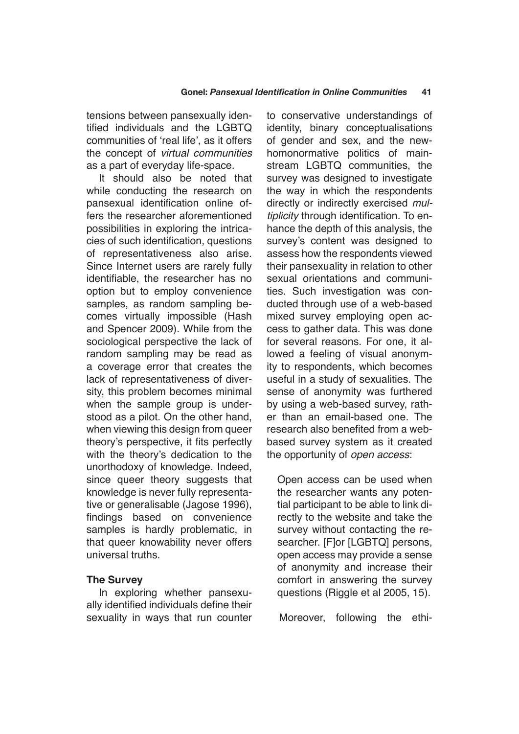tensions between pansexually identified individuals and the LGBTQ communities of 'real life', as it offers the concept of *virtual communities* as a part of everyday life-space.

It should also be noted that while conducting the research on pansexual identification online offers the researcher aforementioned possibilities in exploring the intricacies of such identification, questions of representativeness also arise. Since Internet users are rarely fully identifiable, the researcher has no option but to employ convenience samples, as random sampling becomes virtually impossible (Hash and Spencer 2009). While from the sociological perspective the lack of random sampling may be read as a coverage error that creates the lack of representativeness of diversity, this problem becomes minimal when the sample group is understood as a pilot. On the other hand, when viewing this design from queer theory's perspective, it fits perfectly with the theory's dedication to the unorthodoxy of knowledge. Indeed, since queer theory suggests that knowledge is never fully representative or generalisable (Jagose 1996), findings based on convenience samples is hardly problematic, in that queer knowability never offers universal truths.

# **The Survey**

In exploring whether pansexually identified individuals define their sexuality in ways that run counter to conservative understandings of identity, binary conceptualisations of gender and sex, and the newhomonormative politics of mainstream LGBTQ communities, the survey was designed to investigate the way in which the respondents directly or indirectly exercised *multiplicity* through identification. To enhance the depth of this analysis, the survey's content was designed to assess how the respondents viewed their pansexuality in relation to other sexual orientations and communities. Such investigation was conducted through use of a web-based mixed survey employing open access to gather data. This was done for several reasons. For one, it allowed a feeling of visual anonymity to respondents, which becomes useful in a study of sexualities. The sense of anonymity was furthered by using a web-based survey, rather than an email-based one. The research also benefited from a webbased survey system as it created the opportunity of *open access*:

Open access can be used when the researcher wants any potential participant to be able to link directly to the website and take the survey without contacting the researcher. [F]or [LGBTQ] persons, open access may provide a sense of anonymity and increase their comfort in answering the survey questions (Riggle et al 2005, 15).

Moreover, following the ethi-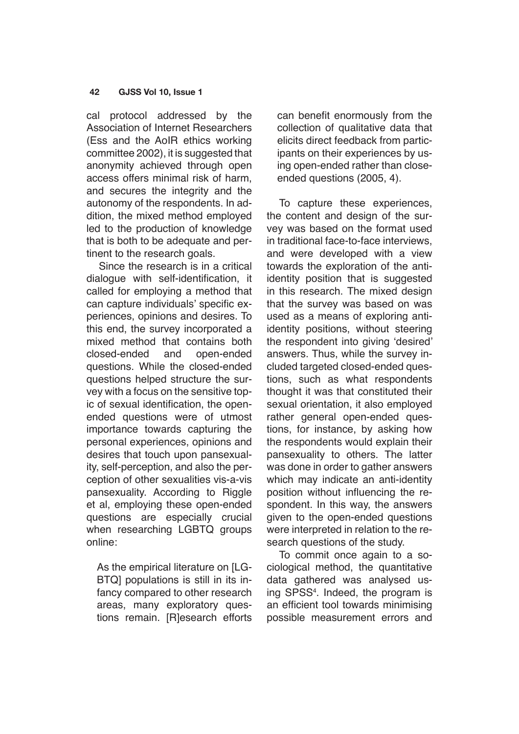cal protocol addressed by the Association of Internet Researchers (Ess and the AoIR ethics working committee 2002), it is suggested that anonymity achieved through open access offers minimal risk of harm, and secures the integrity and the autonomy of the respondents. In addition, the mixed method employed led to the production of knowledge that is both to be adequate and pertinent to the research goals.

Since the research is in a critical dialogue with self-identification, it called for employing a method that can capture individuals' specific experiences, opinions and desires. To this end, the survey incorporated a mixed method that contains both closed-ended and open-ended questions. While the closed-ended questions helped structure the survey with a focus on the sensitive topic of sexual identification, the openended questions were of utmost importance towards capturing the personal experiences, opinions and desires that touch upon pansexuality, self-perception, and also the perception of other sexualities vis-a-vis pansexuality. According to Riggle et al, employing these open-ended questions are especially crucial when researching LGBTQ groups online:

As the empirical literature on [LG-BTQ] populations is still in its infancy compared to other research areas, many exploratory questions remain. [R]esearch efforts can benefit enormously from the collection of qualitative data that elicits direct feedback from participants on their experiences by using open-ended rather than closeended questions (2005, 4).

To capture these experiences, the content and design of the survey was based on the format used in traditional face-to-face interviews, and were developed with a view towards the exploration of the antiidentity position that is suggested in this research. The mixed design that the survey was based on was used as a means of exploring antiidentity positions, without steering the respondent into giving 'desired' answers. Thus, while the survey included targeted closed-ended questions, such as what respondents thought it was that constituted their sexual orientation, it also employed rather general open-ended questions, for instance, by asking how the respondents would explain their pansexuality to others. The latter was done in order to gather answers which may indicate an anti-identity position without influencing the respondent. In this way, the answers given to the open-ended questions were interpreted in relation to the research questions of the study.

To commit once again to a sociological method, the quantitative data gathered was analysed using SPSS4 . Indeed, the program is an efficient tool towards minimising possible measurement errors and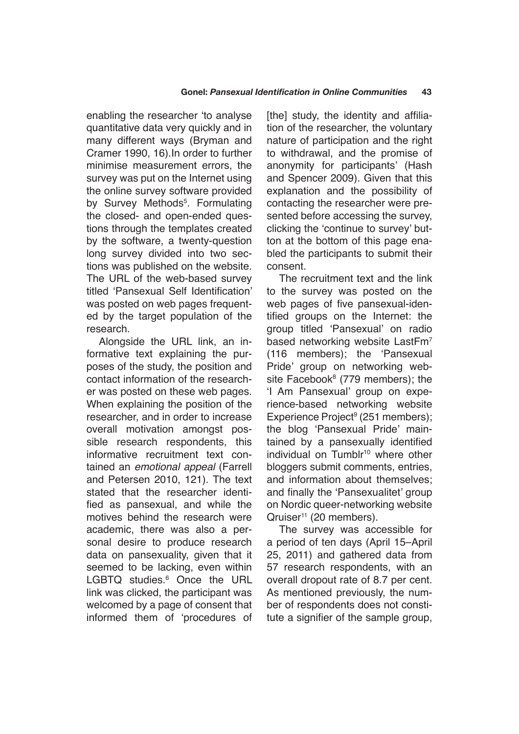enabling the researcher 'to analyse quantitative data very quickly and in many different ways (Bryman and Cramer 1990, 16).In order to further minimise measurement errors, the survey was put on the Internet using the online survey software provided by Survey Methods<sup>5</sup>. Formulating the closed- and open-ended questions through the templates created by the software, a twenty-question long survey divided into two sections was published on the website. The URL of the web-based survey titled 'Pansexual Self Identification' was posted on web pages frequented by the target population of the research.

Alongside the URL link, an informative text explaining the purposes of the study, the position and contact information of the researcher was posted on these web pages. When explaining the position of the researcher, and in order to increase overall motivation amongst possible research respondents, this informative recruitment text contained an *emotional appeal* (Farrell and Petersen 2010, 121). The text stated that the researcher identified as pansexual, and while the motives behind the research were academic, there was also a personal desire to produce research data on pansexuality, given that it seemed to be lacking, even within LGBTQ studies.<sup>6</sup> Once the URL link was clicked, the participant was welcomed by a page of consent that informed them of 'procedures of

[the] study, the identity and affiliation of the researcher, the voluntary nature of participation and the right to withdrawal, and the promise of anonymity for participants' (Hash and Spencer 2009). Given that this explanation and the possibility of contacting the researcher were presented before accessing the survey, clicking the 'continue to survey' button at the bottom of this page enabled the participants to submit their consent.

The recruitment text and the link to the survey was posted on the web pages of five pansexual-identified groups on the Internet: the group titled 'Pansexual' on radio based networking website LastFm<sup>7</sup> (116 members); the 'Pansexual Pride' group on networking website Facebook<sup>8</sup> (779 members); the 'I Am Pansexual' group on experience-based networking website Experience Project<sup>9</sup> (251 members); the blog 'Pansexual Pride' maintained by a pansexually identified individual on Tumblr<sup>10</sup> where other bloggers submit comments, entries, and information about themselves; and finally the 'Pansexualitet' group on Nordic queer-networking website Qruiser<sup>11</sup> (20 members).

The survey was accessible for a period of ten days (April 15–April 25, 2011) and gathered data from 57 research respondents, with an overall dropout rate of 8.7 per cent. As mentioned previously, the number of respondents does not constitute a signifier of the sample group,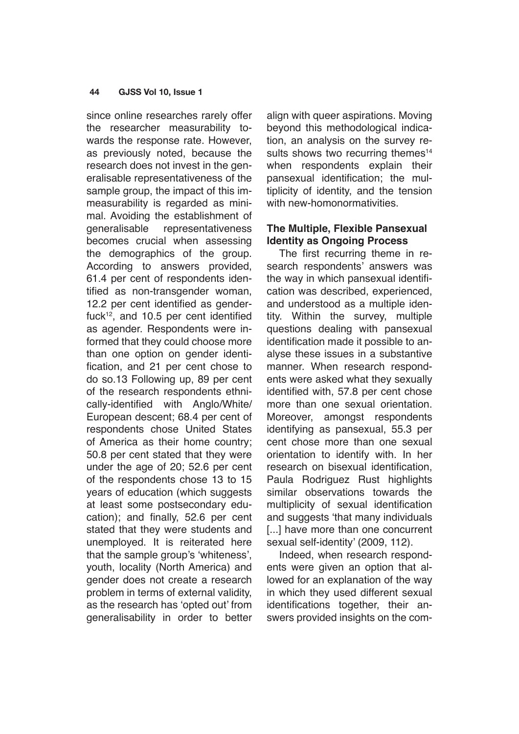since online researches rarely offer the researcher measurability towards the response rate. However, as previously noted, because the research does not invest in the generalisable representativeness of the sample group, the impact of this immeasurability is regarded as minimal. Avoiding the establishment of generalisable representativeness becomes crucial when assessing the demographics of the group. According to answers provided, 61.4 per cent of respondents identified as non-transgender woman, 12.2 per cent identified as genderfuck $12$ , and 10.5 per cent identified as agender. Respondents were informed that they could choose more than one option on gender identification, and 21 per cent chose to do so.13 Following up, 89 per cent of the research respondents ethnically-identified with Anglo/White/ European descent; 68.4 per cent of respondents chose United States of America as their home country; 50.8 per cent stated that they were under the age of 20; 52.6 per cent of the respondents chose 13 to 15 years of education (which suggests at least some postsecondary education); and finally, 52.6 per cent stated that they were students and unemployed. It is reiterated here that the sample group's 'whiteness', youth, locality (North America) and gender does not create a research problem in terms of external validity, as the research has 'opted out' from generalisability in order to better align with queer aspirations. Moving beyond this methodological indication, an analysis on the survey results shows two recurring themes<sup>14</sup> when respondents explain their pansexual identification; the multiplicity of identity, and the tension with new-homonormativities.

# **The Multiple, Flexible Pansexual Identity as Ongoing Process**

The first recurring theme in research respondents' answers was the way in which pansexual identification was described, experienced, and understood as a multiple identity. Within the survey, multiple questions dealing with pansexual identification made it possible to analyse these issues in a substantive manner. When research respondents were asked what they sexually identified with, 57.8 per cent chose more than one sexual orientation. Moreover, amongst respondents identifying as pansexual, 55.3 per cent chose more than one sexual orientation to identify with. In her research on bisexual identification, Paula Rodriguez Rust highlights similar observations towards the multiplicity of sexual identification and suggests 'that many individuals [...] have more than one concurrent sexual self-identity' (2009, 112).

Indeed, when research respondents were given an option that allowed for an explanation of the way in which they used different sexual identifications together, their answers provided insights on the com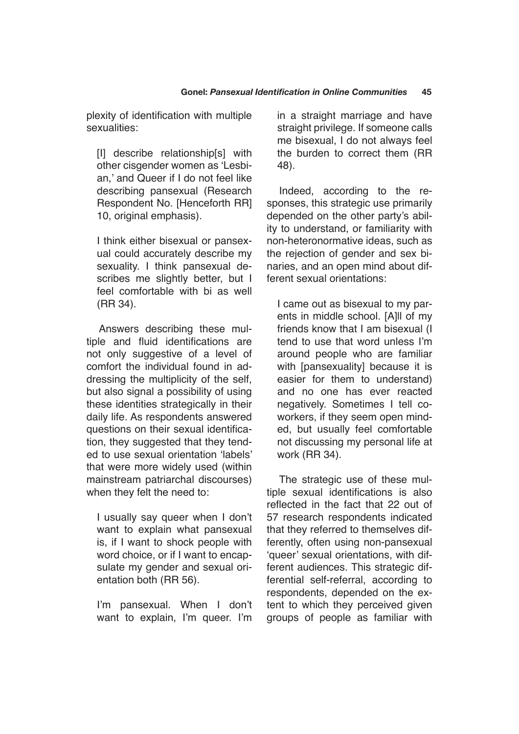plexity of identification with multiple sexualities:

[I] describe relationship[s] with other cisgender women as 'Lesbian,' and Queer if I do not feel like describing pansexual (Research Respondent No. [Henceforth RR] 10, original emphasis).

I think either bisexual or pansexual could accurately describe my sexuality. I think pansexual describes me slightly better, but I feel comfortable with bi as well (RR 34).

Answers describing these multiple and fluid identifications are not only suggestive of a level of comfort the individual found in addressing the multiplicity of the self, but also signal a possibility of using these identities strategically in their daily life. As respondents answered questions on their sexual identification, they suggested that they tended to use sexual orientation 'labels' that were more widely used (within mainstream patriarchal discourses) when they felt the need to:

I usually say queer when I don't want to explain what pansexual is, if I want to shock people with word choice, or if I want to encapsulate my gender and sexual orientation both (RR 56).

I'm pansexual. When I don't want to explain, I'm queer. I'm

in a straight marriage and have straight privilege. If someone calls me bisexual, I do not always feel the burden to correct them (RR 48).

Indeed, according to the responses, this strategic use primarily depended on the other party's ability to understand, or familiarity with non-heteronormative ideas, such as the rejection of gender and sex binaries, and an open mind about different sexual orientations:

I came out as bisexual to my parents in middle school. [A]ll of my friends know that I am bisexual (I tend to use that word unless I'm around people who are familiar with [pansexuality] because it is easier for them to understand) and no one has ever reacted negatively. Sometimes I tell coworkers, if they seem open minded, but usually feel comfortable not discussing my personal life at work (RR 34).

The strategic use of these multiple sexual identifications is also reflected in the fact that 22 out of 57 research respondents indicated that they referred to themselves differently, often using non-pansexual 'queer' sexual orientations, with different audiences. This strategic differential self-referral, according to respondents, depended on the extent to which they perceived given groups of people as familiar with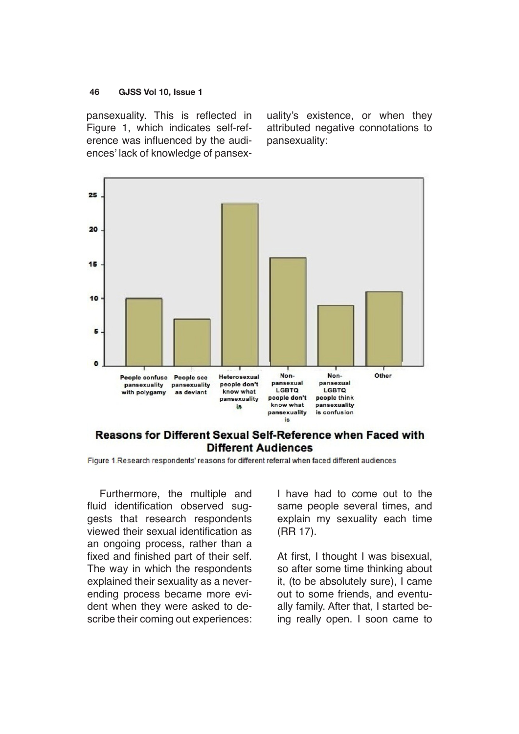pansexuality. This is reflected in Figure 1, which indicates self-reference was influenced by the audiences' lack of knowledge of pansexuality's existence, or when they attributed negative connotations to pansexuality:



# Reasons for Different Sexual Self-Reference when Faced with **Different Audiences**

Figure 1. Research respondents' reasons for different referral when faced different audiences

Furthermore, the multiple and fluid identification observed suggests that research respondents viewed their sexual identification as an ongoing process, rather than a fixed and finished part of their self. The way in which the respondents explained their sexuality as a neverending process became more evident when they were asked to describe their coming out experiences: I have had to come out to the same people several times, and explain my sexuality each time (RR 17).

At first, I thought I was bisexual, so after some time thinking about it, (to be absolutely sure), I came out to some friends, and eventually family. After that, I started being really open. I soon came to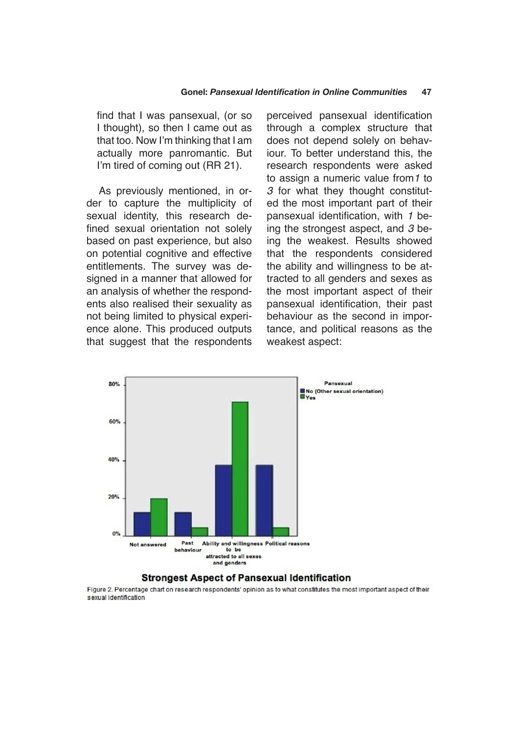find that I was pansexual, (or so I thought), so then I came out as that too. Now I'm thinking that I am actually more panromantic. But I'm tired of coming out (RR 21).

As previously mentioned, in order to capture the multiplicity of sexual identity, this research defined sexual orientation not solely based on past experience, but also on potential cognitive and effective entitlements. The survey was designed in a manner that allowed for an analysis of whether the respondents also realised their sexuality as not being limited to physical experience alone. This produced outputs that suggest that the respondents perceived pansexual identification through a complex structure that does not depend solely on behaviour. To better understand this, the research respondents were asked to assign a numeric value from*1* to *3* for what they thought constituted the most important part of their pansexual identification, with *1* being the strongest aspect, and *3* being the weakest. Results showed that the respondents considered the ability and willingness to be attracted to all genders and sexes as the most important aspect of their pansexual identification, their past behaviour as the second in importance, and political reasons as the weakest aspect:



## **Strongest Aspect of Pansexual Identification**

Figure 2. Percentage chart on research respondents' opinion as to what constitutes the most important aspect of their sexual identification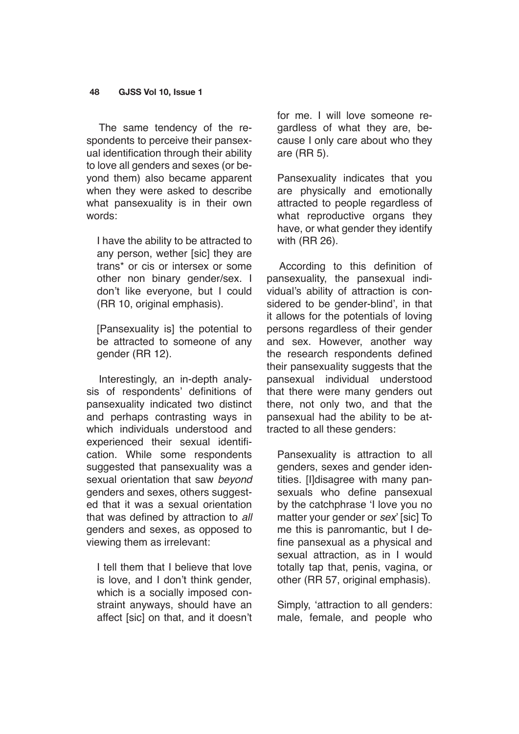The same tendency of the respondents to perceive their pansexual identification through their ability to love all genders and sexes (or beyond them) also became apparent when they were asked to describe what pansexuality is in their own words:

I have the ability to be attracted to any person, wether [sic] they are trans\* or cis or intersex or some other non binary gender/sex. I don't like everyone, but I could (RR 10, original emphasis).

[Pansexuality is] the potential to be attracted to someone of any gender (RR 12).

Interestingly, an in-depth analysis of respondents' definitions of pansexuality indicated two distinct and perhaps contrasting ways in which individuals understood and experienced their sexual identification. While some respondents suggested that pansexuality was a sexual orientation that saw *beyond* genders and sexes, others suggested that it was a sexual orientation that was defined by attraction to *all* genders and sexes, as opposed to viewing them as irrelevant:

I tell them that I believe that love is love, and I don't think gender, which is a socially imposed constraint anyways, should have an affect [sic] on that, and it doesn't for me. I will love someone regardless of what they are, because I only care about who they are (RR 5).

Pansexuality indicates that you are physically and emotionally attracted to people regardless of what reproductive organs they have, or what gender they identify with (RR 26).

According to this definition of pansexuality, the pansexual individual's ability of attraction is considered to be gender-blind', in that it allows for the potentials of loving persons regardless of their gender and sex. However, another way the research respondents defined their pansexuality suggests that the pansexual individual understood that there were many genders out there, not only two, and that the pansexual had the ability to be attracted to all these genders:

Pansexuality is attraction to all genders, sexes and gender identities. [I]disagree with many pansexuals who define pansexual by the catchphrase 'I love you no matter your gender or *sex*' [sic] To me this is panromantic, but I define pansexual as a physical and sexual attraction, as in I would totally tap that, penis, vagina, or other (RR 57, original emphasis).

Simply, 'attraction to all genders: male, female, and people who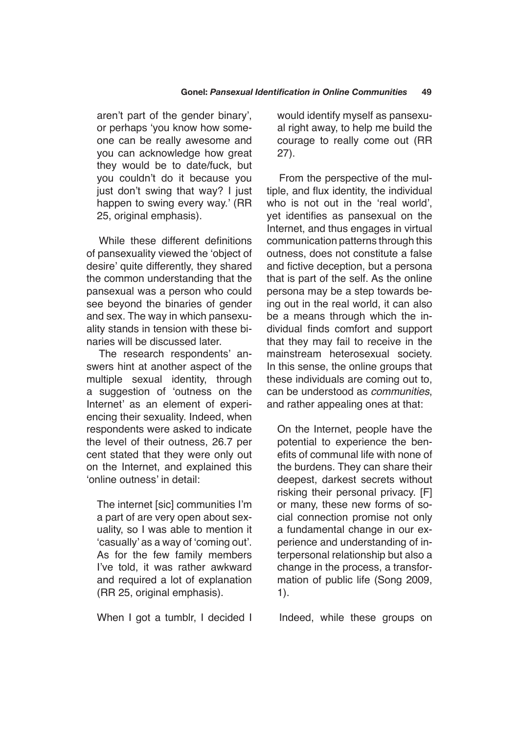aren't part of the gender binary', or perhaps 'you know how someone can be really awesome and you can acknowledge how great they would be to date/fuck, but you couldn't do it because you just don't swing that way? I just happen to swing every way.' (RR 25, original emphasis).

While these different definitions of pansexuality viewed the 'object of desire' quite differently, they shared the common understanding that the pansexual was a person who could see beyond the binaries of gender and sex. The way in which pansexuality stands in tension with these binaries will be discussed later.

The research respondents' answers hint at another aspect of the multiple sexual identity, through a suggestion of 'outness on the Internet' as an element of experiencing their sexuality. Indeed, when respondents were asked to indicate the level of their outness, 26.7 per cent stated that they were only out on the Internet, and explained this 'online outness' in detail:

The internet [sic] communities I'm a part of are very open about sexuality, so I was able to mention it 'casually' as a way of 'coming out'. As for the few family members I've told, it was rather awkward and required a lot of explanation (RR 25, original emphasis).

When I got a tumblr, I decided I

would identify myself as pansexual right away, to help me build the courage to really come out (RR 27).

From the perspective of the multiple, and flux identity, the individual who is not out in the 'real world', yet identifies as pansexual on the Internet, and thus engages in virtual communication patterns through this outness, does not constitute a false and fictive deception, but a persona that is part of the self. As the online persona may be a step towards being out in the real world, it can also be a means through which the individual finds comfort and support that they may fail to receive in the mainstream heterosexual society. In this sense, the online groups that these individuals are coming out to, can be understood as *communities*, and rather appealing ones at that:

On the Internet, people have the potential to experience the benefits of communal life with none of the burdens. They can share their deepest, darkest secrets without risking their personal privacy. [F] or many, these new forms of social connection promise not only a fundamental change in our experience and understanding of interpersonal relationship but also a change in the process, a transformation of public life (Song 2009, 1).

Indeed, while these groups on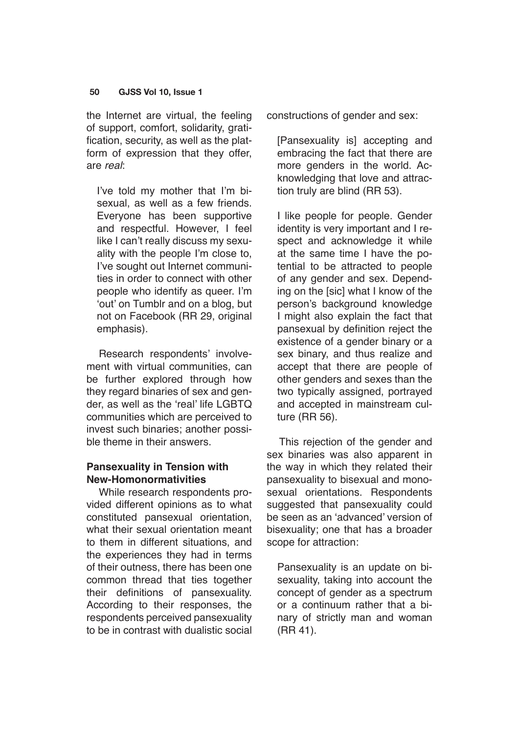the Internet are virtual, the feeling of support, comfort, solidarity, gratification, security, as well as the platform of expression that they offer, are *real*:

I've told my mother that I'm bisexual, as well as a few friends. Everyone has been supportive and respectful. However, I feel like I can't really discuss my sexuality with the people I'm close to, I've sought out Internet communities in order to connect with other people who identify as queer. I'm 'out' on Tumblr and on a blog, but not on Facebook (RR 29, original emphasis).

Research respondents' involvement with virtual communities, can be further explored through how they regard binaries of sex and gender, as well as the 'real' life LGBTQ communities which are perceived to invest such binaries; another possible theme in their answers.

# **Pansexuality in Tension with New-Homonormativities**

While research respondents provided different opinions as to what constituted pansexual orientation, what their sexual orientation meant to them in different situations, and the experiences they had in terms of their outness, there has been one common thread that ties together their definitions of pansexuality. According to their responses, the respondents perceived pansexuality to be in contrast with dualistic social constructions of gender and sex:

[Pansexuality is] accepting and embracing the fact that there are more genders in the world. Acknowledging that love and attraction truly are blind (RR 53).

I like people for people. Gender identity is very important and I respect and acknowledge it while at the same time I have the potential to be attracted to people of any gender and sex. Depending on the [sic] what I know of the person's background knowledge I might also explain the fact that pansexual by definition reject the existence of a gender binary or a sex binary, and thus realize and accept that there are people of other genders and sexes than the two typically assigned, portrayed and accepted in mainstream culture (RR 56).

This rejection of the gender and sex binaries was also apparent in the way in which they related their pansexuality to bisexual and monosexual orientations. Respondents suggested that pansexuality could be seen as an 'advanced' version of bisexuality; one that has a broader scope for attraction:

Pansexuality is an update on bisexuality, taking into account the concept of gender as a spectrum or a continuum rather that a binary of strictly man and woman (RR 41).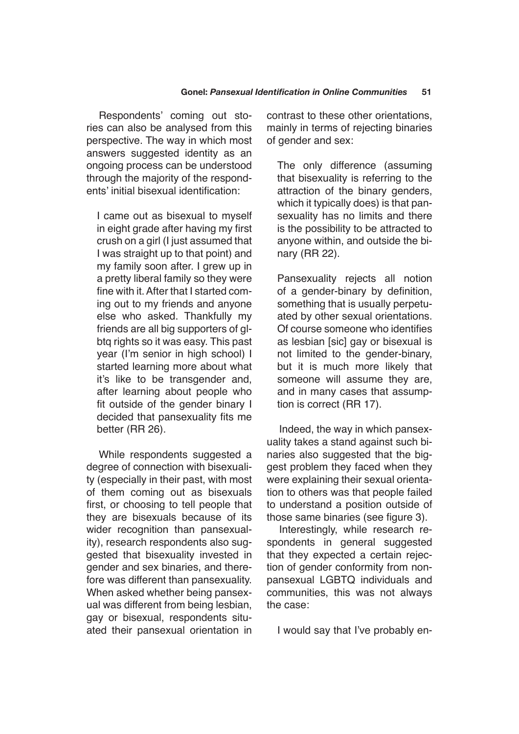Respondents' coming out stories can also be analysed from this perspective. The way in which most answers suggested identity as an ongoing process can be understood through the majority of the respondents' initial bisexual identification:

I came out as bisexual to myself in eight grade after having my first crush on a girl (I just assumed that I was straight up to that point) and my family soon after. I grew up in a pretty liberal family so they were fine with it. After that I started coming out to my friends and anyone else who asked. Thankfully my friends are all big supporters of glbtq rights so it was easy. This past year (I'm senior in high school) I started learning more about what it's like to be transgender and, after learning about people who fit outside of the gender binary I decided that pansexuality fits me better (RR 26).

While respondents suggested a degree of connection with bisexuality (especially in their past, with most of them coming out as bisexuals first, or choosing to tell people that they are bisexuals because of its wider recognition than pansexuality), research respondents also suggested that bisexuality invested in gender and sex binaries, and therefore was different than pansexuality. When asked whether being pansexual was different from being lesbian, gay or bisexual, respondents situated their pansexual orientation in contrast to these other orientations, mainly in terms of rejecting binaries of gender and sex:

The only difference (assuming that bisexuality is referring to the attraction of the binary genders, which it typically does) is that pansexuality has no limits and there is the possibility to be attracted to anyone within, and outside the binary (RR 22).

Pansexuality rejects all notion of a gender-binary by definition, something that is usually perpetuated by other sexual orientations. Of course someone who identifies as lesbian [sic] gay or bisexual is not limited to the gender-binary, but it is much more likely that someone will assume they are, and in many cases that assumption is correct (RR 17).

Indeed, the way in which pansexuality takes a stand against such binaries also suggested that the biggest problem they faced when they were explaining their sexual orientation to others was that people failed to understand a position outside of those same binaries (see figure 3).

Interestingly, while research respondents in general suggested that they expected a certain rejection of gender conformity from nonpansexual LGBTQ individuals and communities, this was not always the case:

I would say that I've probably en-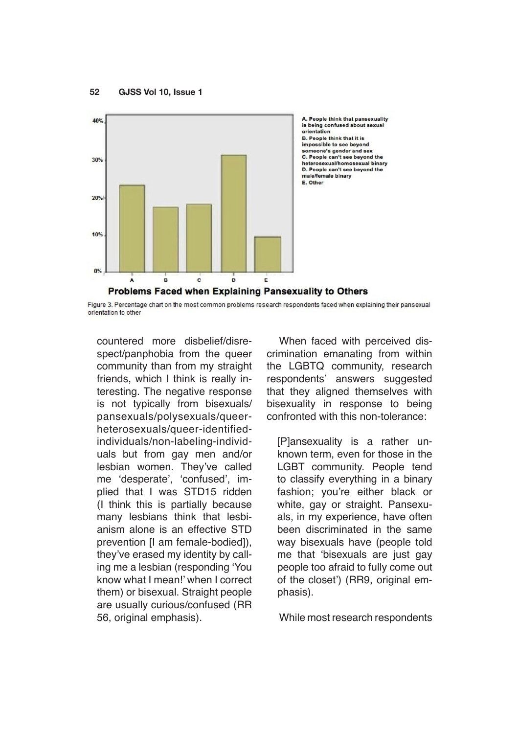

Figure 3. Percentage chart on the most common problems research respondents faced when explaining their pansexual orientation to other

countered more disbelief/disrespect/panphobia from the queer community than from my straight friends, which I think is really interesting. The negative response is not typically from bisexuals/ pansexuals/polysexuals/queerheterosexuals/queer-identifiedindividuals/non-labeling-individuals but from gay men and/or lesbian women. They've called me 'desperate', 'confused', implied that I was STD15 ridden (I think this is partially because many lesbians think that lesbianism alone is an effective STD prevention [I am female-bodied]), they've erased my identity by calling me a lesbian (responding 'You know what I mean!' when I correct them) or bisexual. Straight people are usually curious/confused (RR 56, original emphasis).

When faced with perceived discrimination emanating from within the LGBTQ community, research respondents' answers suggested that they aligned themselves with bisexuality in response to being confronted with this non-tolerance:

[P]ansexuality is a rather unknown term, even for those in the LGBT community. People tend to classify everything in a binary fashion; you're either black or white, gay or straight. Pansexuals, in my experience, have often been discriminated in the same way bisexuals have (people told me that 'bisexuals are just gay people too afraid to fully come out of the closet') (RR9, original emphasis).

While most research respondents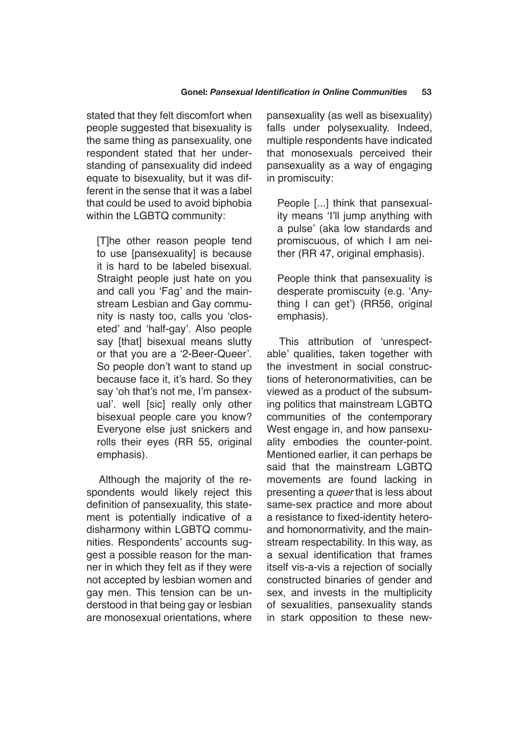stated that they felt discomfort when people suggested that bisexuality is the same thing as pansexuality, one respondent stated that her understanding of pansexuality did indeed equate to bisexuality, but it was different in the sense that it was a label that could be used to avoid biphobia within the LGBTQ community:

[T]he other reason people tend to use [pansexuality] is because it is hard to be labeled bisexual. Straight people just hate on you and call you 'Fag' and the mainstream Lesbian and Gay community is nasty too, calls you 'closeted' and 'half-gay'. Also people say [that] bisexual means slutty or that you are a '2-Beer-Queer'. So people don't want to stand up because face it, it's hard. So they say 'oh that's not me, I'm pansexual'. well [sic] really only other bisexual people care you know? Everyone else just snickers and rolls their eyes (RR 55, original emphasis).

Although the majority of the respondents would likely reject this definition of pansexuality, this statement is potentially indicative of a disharmony within LGBTQ communities. Respondents' accounts suggest a possible reason for the manner in which they felt as if they were not accepted by lesbian women and gay men. This tension can be understood in that being gay or lesbian are monosexual orientations, where pansexuality (as well as bisexuality) falls under polysexuality. Indeed, multiple respondents have indicated that monosexuals perceived their pansexuality as a way of engaging in promiscuity:

People [...] think that pansexuality means 'I'll jump anything with a pulse' (aka low standards and promiscuous, of which I am neither (RR 47, original emphasis).

People think that pansexuality is desperate promiscuity (e.g. 'Anything I can get') (RR56, original emphasis).

This attribution of 'unrespectable' qualities, taken together with the investment in social constructions of heteronormativities, can be viewed as a product of the subsuming politics that mainstream LGBTQ communities of the contemporary West engage in, and how pansexuality embodies the counter-point. Mentioned earlier, it can perhaps be said that the mainstream LGBTQ movements are found lacking in presenting a *queer* that is less about same-sex practice and more about a resistance to fixed-identity heteroand homonormativity, and the mainstream respectability. In this way, as a sexual identification that frames itself vis-a-vis a rejection of socially constructed binaries of gender and sex, and invests in the multiplicity of sexualities, pansexuality stands in stark opposition to these new-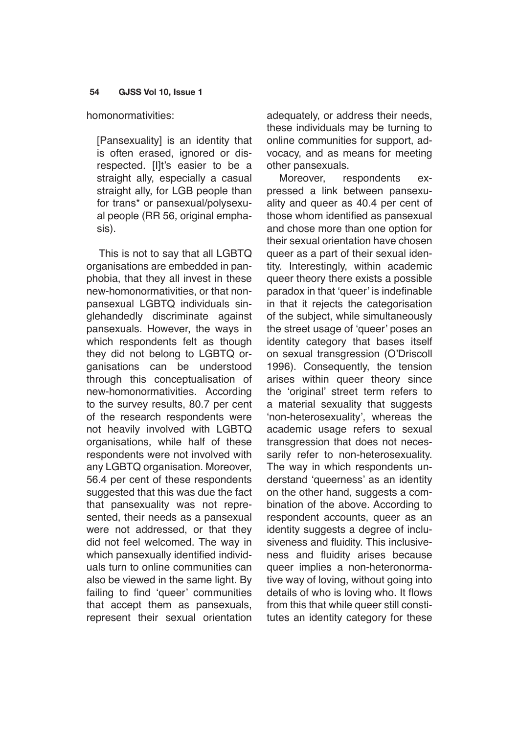#### homonormativities:

[Pansexuality] is an identity that is often erased, ignored or disrespected. [I]t's easier to be a straight ally, especially a casual straight ally, for LGB people than for trans\* or pansexual/polysexual people (RR 56, original emphasis).

This is not to say that all LGBTQ organisations are embedded in panphobia, that they all invest in these new-homonormativities, or that nonpansexual LGBTQ individuals singlehandedly discriminate against pansexuals. However, the ways in which respondents felt as though they did not belong to LGBTQ organisations can be understood through this conceptualisation of new-homonormativities. According to the survey results, 80.7 per cent of the research respondents were not heavily involved with LGBTQ organisations, while half of these respondents were not involved with any LGBTQ organisation. Moreover, 56.4 per cent of these respondents suggested that this was due the fact that pansexuality was not represented, their needs as a pansexual were not addressed, or that they did not feel welcomed. The way in which pansexually identified individuals turn to online communities can also be viewed in the same light. By failing to find 'queer' communities that accept them as pansexuals, represent their sexual orientation adequately, or address their needs, these individuals may be turning to online communities for support, advocacy, and as means for meeting other pansexuals.

Moreover, respondents expressed a link between pansexuality and queer as 40.4 per cent of those whom identified as pansexual and chose more than one option for their sexual orientation have chosen queer as a part of their sexual identity. Interestingly, within academic queer theory there exists a possible paradox in that 'queer' is indefinable in that it rejects the categorisation of the subject, while simultaneously the street usage of 'queer' poses an identity category that bases itself on sexual transgression (O'Driscoll 1996). Consequently, the tension arises within queer theory since the 'original' street term refers to a material sexuality that suggests 'non-heterosexuality', whereas the academic usage refers to sexual transgression that does not necessarily refer to non-heterosexuality. The way in which respondents understand 'queerness' as an identity on the other hand, suggests a combination of the above. According to respondent accounts, queer as an identity suggests a degree of inclusiveness and fluidity. This inclusiveness and fluidity arises because queer implies a non-heteronormative way of loving, without going into details of who is loving who. It flows from this that while queer still constitutes an identity category for these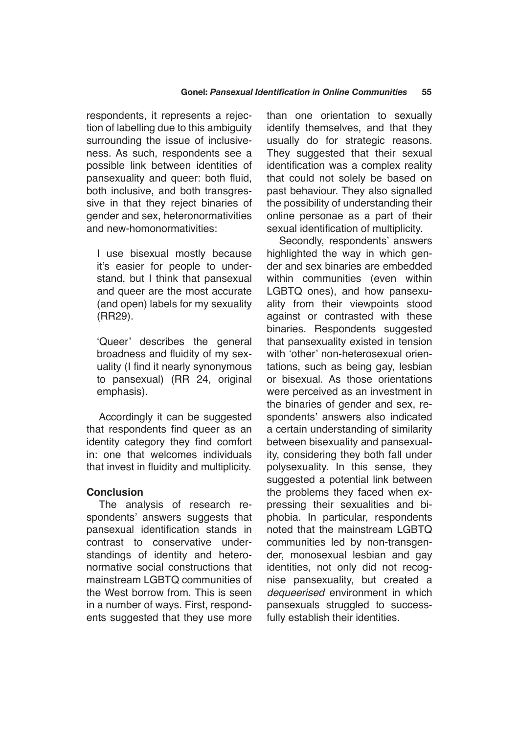respondents, it represents a rejection of labelling due to this ambiguity surrounding the issue of inclusiveness. As such, respondents see a possible link between identities of pansexuality and queer: both fluid, both inclusive, and both transgressive in that they reject binaries of gender and sex, heteronormativities and new-homonormativities:

I use bisexual mostly because it's easier for people to understand, but I think that pansexual and queer are the most accurate (and open) labels for my sexuality (RR29).

'Queer' describes the general broadness and fluidity of my sexuality (I find it nearly synonymous to pansexual) (RR 24, original emphasis).

Accordingly it can be suggested that respondents find queer as an identity category they find comfort in: one that welcomes individuals that invest in fluidity and multiplicity.

# **Conclusion**

The analysis of research respondents' answers suggests that pansexual identification stands in contrast to conservative understandings of identity and heteronormative social constructions that mainstream LGBTQ communities of the West borrow from. This is seen in a number of ways. First, respondents suggested that they use more than one orientation to sexually identify themselves, and that they usually do for strategic reasons. They suggested that their sexual identification was a complex reality that could not solely be based on past behaviour. They also signalled the possibility of understanding their online personae as a part of their sexual identification of multiplicity.

Secondly, respondents' answers highlighted the way in which gender and sex binaries are embedded within communities (even within LGBTQ ones), and how pansexuality from their viewpoints stood against or contrasted with these binaries. Respondents suggested that pansexuality existed in tension with 'other' non-heterosexual orientations, such as being gay, lesbian or bisexual. As those orientations were perceived as an investment in the binaries of gender and sex, respondents' answers also indicated a certain understanding of similarity between bisexuality and pansexuality, considering they both fall under polysexuality. In this sense, they suggested a potential link between the problems they faced when expressing their sexualities and biphobia. In particular, respondents noted that the mainstream LGBTQ communities led by non-transgender, monosexual lesbian and gay identities, not only did not recognise pansexuality, but created a *dequeerised* environment in which pansexuals struggled to successfully establish their identities.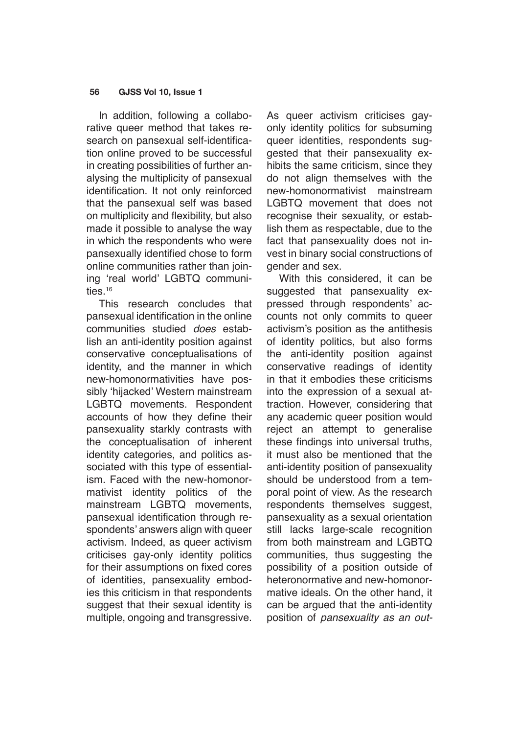In addition, following a collaborative queer method that takes research on pansexual self-identification online proved to be successful in creating possibilities of further analysing the multiplicity of pansexual identification. It not only reinforced that the pansexual self was based on multiplicity and flexibility, but also made it possible to analyse the way in which the respondents who were pansexually identified chose to form online communities rather than joining 'real world' LGBTQ communities.<sup>16</sup>

This research concludes that pansexual identification in the online communities studied *does* establish an anti-identity position against conservative conceptualisations of identity, and the manner in which new-homonormativities have possibly 'hijacked' Western mainstream LGBTQ movements. Respondent accounts of how they define their pansexuality starkly contrasts with the conceptualisation of inherent identity categories, and politics associated with this type of essentialism. Faced with the new-homonormativist identity politics of the mainstream LGBTQ movements, pansexual identification through respondents' answers align with queer activism. Indeed, as queer activism criticises gay-only identity politics for their assumptions on fixed cores of identities, pansexuality embodies this criticism in that respondents suggest that their sexual identity is multiple, ongoing and transgressive. As queer activism criticises gayonly identity politics for subsuming queer identities, respondents suggested that their pansexuality exhibits the same criticism, since they do not align themselves with the new-homonormativist mainstream LGBTQ movement that does not recognise their sexuality, or establish them as respectable, due to the fact that pansexuality does not invest in binary social constructions of gender and sex.

With this considered, it can be suggested that pansexuality expressed through respondents' accounts not only commits to queer activism's position as the antithesis of identity politics, but also forms the anti-identity position against conservative readings of identity in that it embodies these criticisms into the expression of a sexual attraction. However, considering that any academic queer position would reject an attempt to generalise these findings into universal truths, it must also be mentioned that the anti-identity position of pansexuality should be understood from a temporal point of view. As the research respondents themselves suggest, pansexuality as a sexual orientation still lacks large-scale recognition from both mainstream and LGBTQ communities, thus suggesting the possibility of a position outside of heteronormative and new-homonormative ideals. On the other hand, it can be argued that the anti-identity position of *pansexuality as an out-*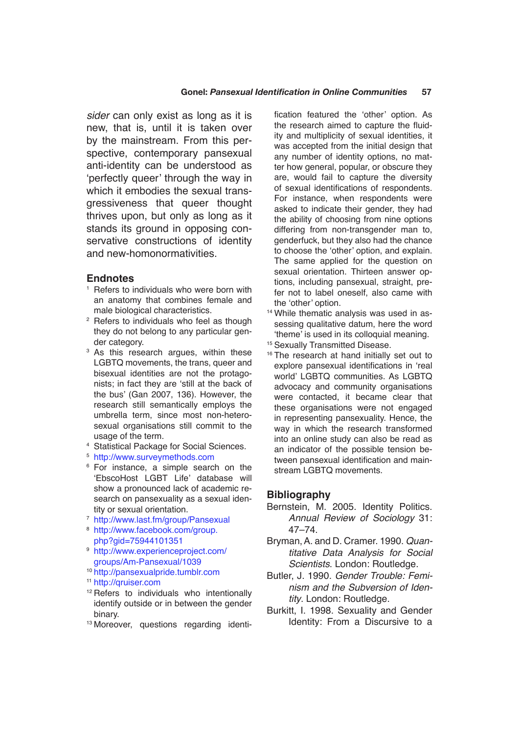*sider* can only exist as long as it is new, that is, until it is taken over by the mainstream. From this perspective, contemporary pansexual anti-identity can be understood as 'perfectly queer' through the way in which it embodies the sexual transgressiveness that queer thought thrives upon, but only as long as it stands its ground in opposing conservative constructions of identity and new-homonormativities.

#### **Endnotes**

- Refers to individuals who were born with an anatomy that combines female and male biological characteristics.
- Refers to individuals who feel as though they do not belong to any particular gender category.
- <sup>3</sup> As this research argues, within these LGBTQ movements, the trans, queer and bisexual identities are not the protagonists; in fact they are 'still at the back of the bus' (Gan 2007, 136). However, the research still semantically employs the umbrella term, since most non-heterosexual organisations still commit to the usage of the term.
- <sup>4</sup> Statistical Package for Social Sciences.
- <sup>5</sup> <http://www.surveymethods.com>
- <sup>6</sup> For instance, a simple search on the 'EbscoHost LGBT Life' database will show a pronounced lack of academic research on pansexuality as a sexual identity or sexual orientation.
- <sup>7</sup> <http://www.last.fm/group/Pansexual>
- <sup>8</sup> [http://www.facebook.com/group.](http://www.facebook.com/group.php?gid=75944101351) [php?gid=75944101351](http://www.facebook.com/group.php?gid=75944101351)
- <sup>9</sup> [http://www.experienceproject.com/](http://www.experienceproject.com/groups/Am-Pansexual/1039) [groups/Am-Pansexual/1039](http://www.experienceproject.com/groups/Am-Pansexual/1039)
- <sup>10</sup> <http://pansexualpride.tumblr.com>
- <sup>11</sup> <http://qruiser.com>
- <sup>12</sup> Refers to individuals who intentionally identify outside or in between the gender binary.
- <sup>13</sup> Moreover, questions regarding identi-

fication featured the 'other' option. As the research aimed to capture the fluidity and multiplicity of sexual identities, it was accepted from the initial design that any number of identity options, no matter how general, popular, or obscure they are, would fail to capture the diversity of sexual identifications of respondents. For instance, when respondents were asked to indicate their gender, they had the ability of choosing from nine options differing from non-transgender man to, genderfuck, but they also had the chance to choose the 'other' option, and explain. The same applied for the question on sexual orientation. Thirteen answer options, including pansexual, straight, prefer not to label oneself, also came with the 'other' option.

- <sup>14</sup> While thematic analysis was used in assessing qualitative datum, here the word 'theme' is used in its colloquial meaning.
- <sup>15</sup> Sexually Transmitted Disease.
- <sup>16</sup> The research at hand initially set out to explore pansexual identifications in 'real world' LGBTQ communities. As LGBTQ advocacy and community organisations were contacted, it became clear that these organisations were not engaged in representing pansexuality. Hence, the way in which the research transformed into an online study can also be read as an indicator of the possible tension between pansexual identification and mainstream LGBTQ movements.

#### **Bibliography**

- Bernstein, M. 2005. Identity Politics. *Annual Review of Sociology* 31: 47–74.
- Bryman, A. and D. Cramer. 1990. *Quantitative Data Analysis for Social Scientists*. London: Routledge.
- Butler, J. 1990. *Gender Trouble: Feminism and the Subversion of Identity*. London: Routledge.
- Burkitt, I. 1998. Sexuality and Gender Identity: From a Discursive to a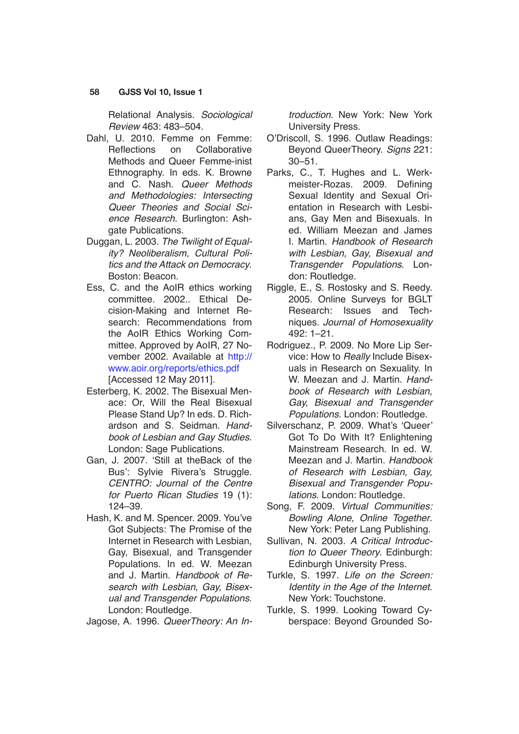Relational Analysis. *Sociological Review* 463: 483–504.

- Dahl, U. 2010. Femme on Femme: Reflections on Collaborative Methods and Queer Femme-inist Ethnography. In eds. K. Browne and C. Nash. *Queer Methods and Methodologies: Intersecting Queer Theories and Social Science Research*. Burlington: Ashgate Publications.
- Duggan, L. 2003. *The Twilight of Equality? Neoliberalism, Cultural Politics and the Attack on Democracy*. Boston: Beacon.
- Ess, C. and the AoIR ethics working committee. 2002.. Ethical Decision-Making and Internet Research: Recommendations from the AoIR Ethics Working Committee. Approved by AoIR, 27 November 2002. Available at [http://](http://www.aoir.org/reports/ethics.pdf) [www.aoir.org/reports/ethics.pdf](http://www.aoir.org/reports/ethics.pdf) [Accessed 12 May 2011].
- Esterberg, K. 2002. The Bisexual Menace: Or, Will the Real Bisexual Please Stand Up? In eds. D. Richardson and S. Seidman. *Handbook of Lesbian and Gay Studies*. London: Sage Publications.
- Gan, J. 2007. 'Still at theBack of the Bus': Sylvie Rivera's Struggle. *CENTRO: Journal of the Centre for Puerto Rican Studies* 19 (1): 124–39.
- Hash, K. and M. Spencer. 2009. You've Got Subjects: The Promise of the Internet in Research with Lesbian, Gay, Bisexual, and Transgender Populations. In ed. W. Meezan and J. Martin. *Handbook of Research with Lesbian, Gay, Bisexual and Transgender Populations*. London: Routledge.

Jagose, A. 1996. *QueerTheory: An In-*

*troduction*. New York: New York University Press.

- O'Driscoll, S. 1996. Outlaw Readings: Beyond QueerTheory. *Signs* 221: 30–51.
- Parks, C., T. Hughes and L. Werkmeister-Rozas. 2009. Defining Sexual Identity and Sexual Orientation in Research with Lesbians, Gay Men and Bisexuals. In ed. William Meezan and James I. Martin. *Handbook of Research with Lesbian, Gay, Bisexual and Transgender Populations*. London: Routledge.
- Riggle, E., S. Rostosky and S. Reedy. 2005. Online Surveys for BGLT Research: Issues and Techniques. *Journal of Homosexuality* 492: 1–21.
- Rodriguez., P. 2009. No More Lip Service: How to *Really* Include Bisexuals in Research on Sexuality. In W. Meezan and J. Martin. *Handbook of Research with Lesbian, Gay, Bisexual and Transgender Populations*. London: Routledge.
- Silverschanz, P. 2009. What's 'Queer' Got To Do With It? Enlightening Mainstream Research. In ed. W. Meezan and J. Martin. *Handbook of Research with Lesbian, Gay, Bisexual and Transgender Populations*. London: Routledge.
- Song, F. 2009. *Virtual Communities: Bowling Alone, Online Together*. New York: Peter Lang Publishing.
- Sullivan, N. 2003. *A Critical Introduction to Queer Theory*. Edinburgh: Edinburgh University Press.
- Turkle, S. 1997. *Life on the Screen: Identity in the Age of the Internet*. New York: Touchstone.
- Turkle, S. 1999. Looking Toward Cyberspace: Beyond Grounded So-